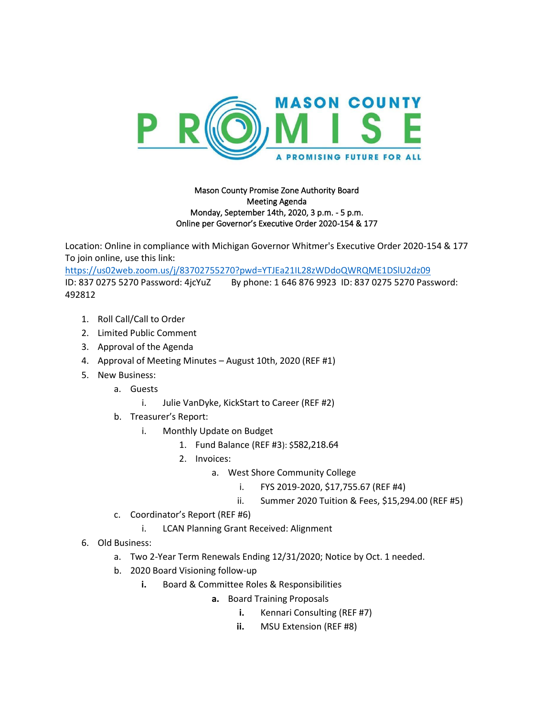

## Mason County Promise Zone Authority Board Meeting Agenda Monday, September 14th, 2020, 3 p.m. - 5 p.m. Online per Governor's Executive Order 2020-154 & 177

Location: Online in compliance with Michigan Governor Whitmer's Executive Order 2020-154 & 177 To join online, use this link:

<https://us02web.zoom.us/j/83702755270?pwd=YTJEa21IL28zWDdoQWRQME1DSlU2dz09> ID: 837 0275 5270 Password: 4jcYuZ By phone: 1 646 876 9923 ID: 837 0275 5270 Password: 492812

- 1. Roll Call/Call to Order
- 2. Limited Public Comment
- 3. Approval of the Agenda
- 4. Approval of Meeting Minutes August 10th, 2020 (REF #1)
- 5. New Business:
	- a. Guests
		- i. Julie VanDyke, KickStart to Career (REF #2)
	- b. Treasurer's Report:
		- i. Monthly Update on Budget
			- 1. Fund Balance (REF #3): \$582,218.64
			- 2. Invoices:
				- a. West Shore Community College
					- i. FYS 2019-2020, \$17,755.67 (REF #4)
					- ii. Summer 2020 Tuition & Fees, \$15,294.00 (REF #5)
	- c. Coordinator's Report (REF #6)
		- i. LCAN Planning Grant Received: Alignment
- 6. Old Business:
	- a. Two 2-Year Term Renewals Ending 12/31/2020; Notice by Oct. 1 needed.
	- b. 2020 Board Visioning follow-up
		- **i.** Board & Committee Roles & Responsibilities
			- **a.** Board Training Proposals
				- **i.** Kennari Consulting (REF #7)
				- **ii.** MSU Extension (REF #8)